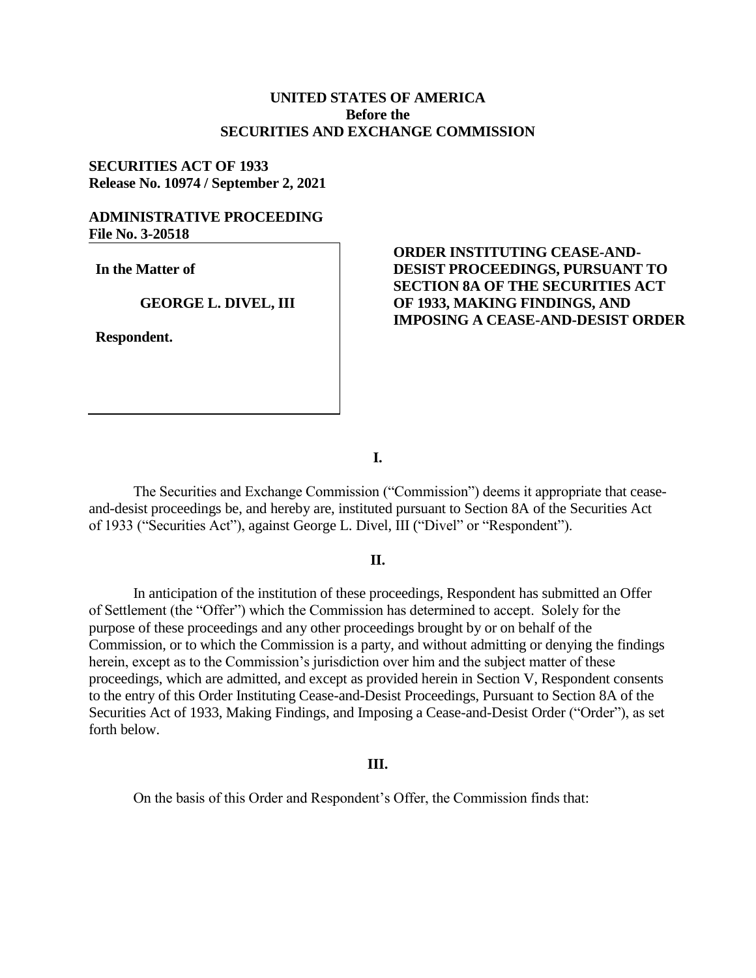# **UNITED STATES OF AMERICA Before the SECURITIES AND EXCHANGE COMMISSION**

# **SECURITIES ACT OF 1933 Release No. 10974 / September 2, 2021**

## **ADMINISTRATIVE PROCEEDING File No. 3-20518**

**In the Matter of**

#### **GEORGE L. DIVEL, III**

**Respondent.**

# **ORDER INSTITUTING CEASE-AND-DESIST PROCEEDINGS, PURSUANT TO SECTION 8A OF THE SECURITIES ACT OF 1933, MAKING FINDINGS, AND IMPOSING A CEASE-AND-DESIST ORDER**

**I.**

The Securities and Exchange Commission ("Commission") deems it appropriate that ceaseand-desist proceedings be, and hereby are, instituted pursuant to Section 8A of the Securities Act of 1933 ("Securities Act"), against George L. Divel, III ("Divel" or "Respondent").

### **II.**

In anticipation of the institution of these proceedings, Respondent has submitted an Offer of Settlement (the "Offer") which the Commission has determined to accept. Solely for the purpose of these proceedings and any other proceedings brought by or on behalf of the Commission, or to which the Commission is a party, and without admitting or denying the findings herein, except as to the Commission's jurisdiction over him and the subject matter of these proceedings, which are admitted, and except as provided herein in Section V, Respondent consents to the entry of this Order Instituting Cease-and-Desist Proceedings, Pursuant to Section 8A of the Securities Act of 1933, Making Findings, and Imposing a Cease-and-Desist Order ("Order"), as set forth below.

#### **III.**

On the basis of this Order and Respondent's Offer, the Commission finds that: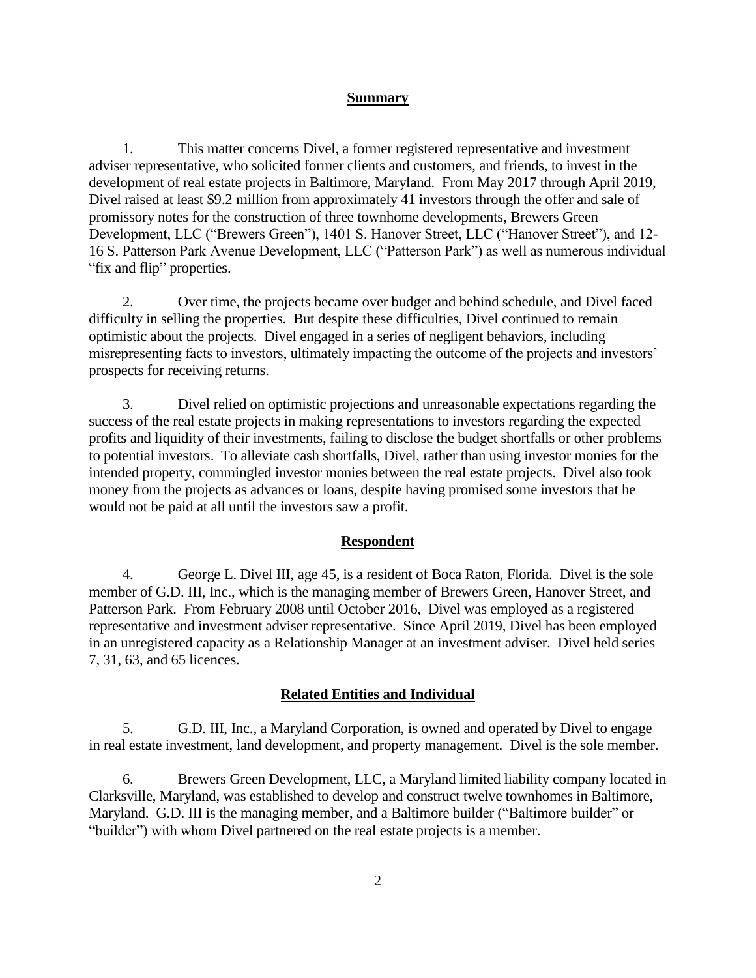#### **Summary**

1. This matter concerns Divel, a former registered representative and investment adviser representative, who solicited former clients and customers, and friends, to invest in the development of real estate projects in Baltimore, Maryland. From May 2017 through April 2019, Divel raised at least \$9.2 million from approximately 41 investors through the offer and sale of promissory notes for the construction of three townhome developments, Brewers Green Development, LLC ("Brewers Green"), 1401 S. Hanover Street, LLC ("Hanover Street"), and 12- 16 S. Patterson Park Avenue Development, LLC ("Patterson Park") as well as numerous individual "fix and flip" properties.

2. Over time, the projects became over budget and behind schedule, and Divel faced difficulty in selling the properties. But despite these difficulties, Divel continued to remain optimistic about the projects. Divel engaged in a series of negligent behaviors, including misrepresenting facts to investors, ultimately impacting the outcome of the projects and investors' prospects for receiving returns.

3. Divel relied on optimistic projections and unreasonable expectations regarding the success of the real estate projects in making representations to investors regarding the expected profits and liquidity of their investments, failing to disclose the budget shortfalls or other problems to potential investors. To alleviate cash shortfalls, Divel, rather than using investor monies for the intended property, commingled investor monies between the real estate projects. Divel also took money from the projects as advances or loans, despite having promised some investors that he would not be paid at all until the investors saw a profit.

### **Respondent**

4. George L. Divel III, age 45, is a resident of Boca Raton, Florida. Divel is the sole member of G.D. III, Inc., which is the managing member of Brewers Green, Hanover Street, and Patterson Park. From February 2008 until October 2016, Divel was employed as a registered representative and investment adviser representative. Since April 2019, Divel has been employed in an unregistered capacity as a Relationship Manager at an investment adviser. Divel held series 7, 31, 63, and 65 licences.

### **Related Entities and Individual**

5. G.D. III, Inc., a Maryland Corporation, is owned and operated by Divel to engage in real estate investment, land development, and property management. Divel is the sole member.

6. Brewers Green Development, LLC, a Maryland limited liability company located in Clarksville, Maryland, was established to develop and construct twelve townhomes in Baltimore, Maryland. G.D. III is the managing member, and a Baltimore builder ("Baltimore builder" or "builder") with whom Divel partnered on the real estate projects is a member.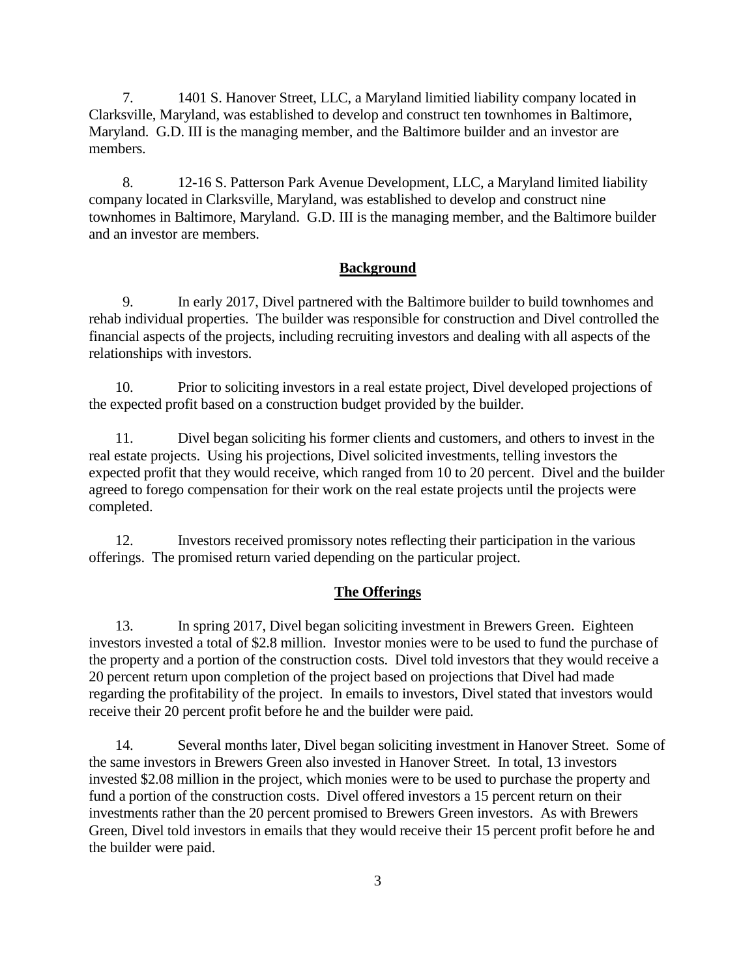7. 1401 S. Hanover Street, LLC, a Maryland limitied liability company located in Clarksville, Maryland, was established to develop and construct ten townhomes in Baltimore, Maryland. G.D. III is the managing member, and the Baltimore builder and an investor are members.

8. 12-16 S. Patterson Park Avenue Development, LLC, a Maryland limited liability company located in Clarksville, Maryland, was established to develop and construct nine townhomes in Baltimore, Maryland. G.D. III is the managing member, and the Baltimore builder and an investor are members.

## **Background**

9. In early 2017, Divel partnered with the Baltimore builder to build townhomes and rehab individual properties. The builder was responsible for construction and Divel controlled the financial aspects of the projects, including recruiting investors and dealing with all aspects of the relationships with investors.

10. Prior to soliciting investors in a real estate project, Divel developed projections of the expected profit based on a construction budget provided by the builder.

11. Divel began soliciting his former clients and customers, and others to invest in the real estate projects. Using his projections, Divel solicited investments, telling investors the expected profit that they would receive, which ranged from 10 to 20 percent. Divel and the builder agreed to forego compensation for their work on the real estate projects until the projects were completed.

12. Investors received promissory notes reflecting their participation in the various offerings. The promised return varied depending on the particular project.

### **The Offerings**

13. In spring 2017, Divel began soliciting investment in Brewers Green. Eighteen investors invested a total of \$2.8 million. Investor monies were to be used to fund the purchase of the property and a portion of the construction costs. Divel told investors that they would receive a 20 percent return upon completion of the project based on projections that Divel had made regarding the profitability of the project. In emails to investors, Divel stated that investors would receive their 20 percent profit before he and the builder were paid.

14. Several months later, Divel began soliciting investment in Hanover Street. Some of the same investors in Brewers Green also invested in Hanover Street. In total, 13 investors invested \$2.08 million in the project, which monies were to be used to purchase the property and fund a portion of the construction costs. Divel offered investors a 15 percent return on their investments rather than the 20 percent promised to Brewers Green investors. As with Brewers Green, Divel told investors in emails that they would receive their 15 percent profit before he and the builder were paid.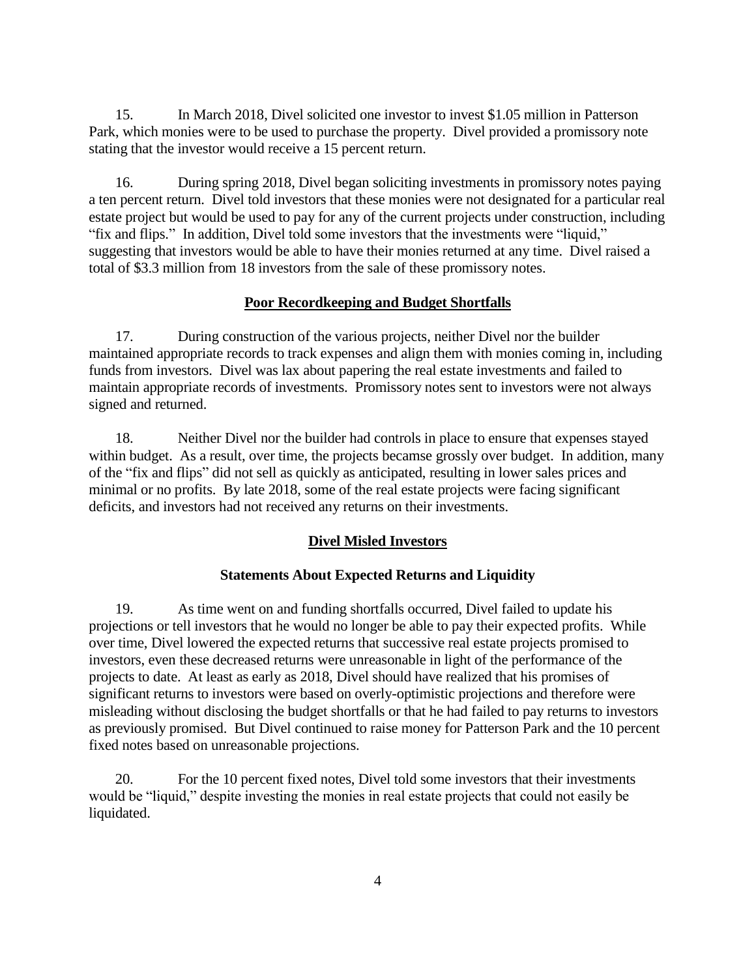15. In March 2018, Divel solicited one investor to invest \$1.05 million in Patterson Park, which monies were to be used to purchase the property. Divel provided a promissory note stating that the investor would receive a 15 percent return.

16. During spring 2018, Divel began soliciting investments in promissory notes paying a ten percent return. Divel told investors that these monies were not designated for a particular real estate project but would be used to pay for any of the current projects under construction, including "fix and flips." In addition, Divel told some investors that the investments were "liquid," suggesting that investors would be able to have their monies returned at any time. Divel raised a total of \$3.3 million from 18 investors from the sale of these promissory notes.

## **Poor Recordkeeping and Budget Shortfalls**

17. During construction of the various projects, neither Divel nor the builder maintained appropriate records to track expenses and align them with monies coming in, including funds from investors. Divel was lax about papering the real estate investments and failed to maintain appropriate records of investments. Promissory notes sent to investors were not always signed and returned.

18. Neither Divel nor the builder had controls in place to ensure that expenses stayed within budget. As a result, over time, the projects becamse grossly over budget. In addition, many of the "fix and flips" did not sell as quickly as anticipated, resulting in lower sales prices and minimal or no profits. By late 2018, some of the real estate projects were facing significant deficits, and investors had not received any returns on their investments.

# **Divel Misled Investors**

## **Statements About Expected Returns and Liquidity**

19. As time went on and funding shortfalls occurred, Divel failed to update his projections or tell investors that he would no longer be able to pay their expected profits. While over time, Divel lowered the expected returns that successive real estate projects promised to investors, even these decreased returns were unreasonable in light of the performance of the projects to date. At least as early as 2018, Divel should have realized that his promises of significant returns to investors were based on overly-optimistic projections and therefore were misleading without disclosing the budget shortfalls or that he had failed to pay returns to investors as previously promised. But Divel continued to raise money for Patterson Park and the 10 percent fixed notes based on unreasonable projections.

20. For the 10 percent fixed notes, Divel told some investors that their investments would be "liquid," despite investing the monies in real estate projects that could not easily be liquidated.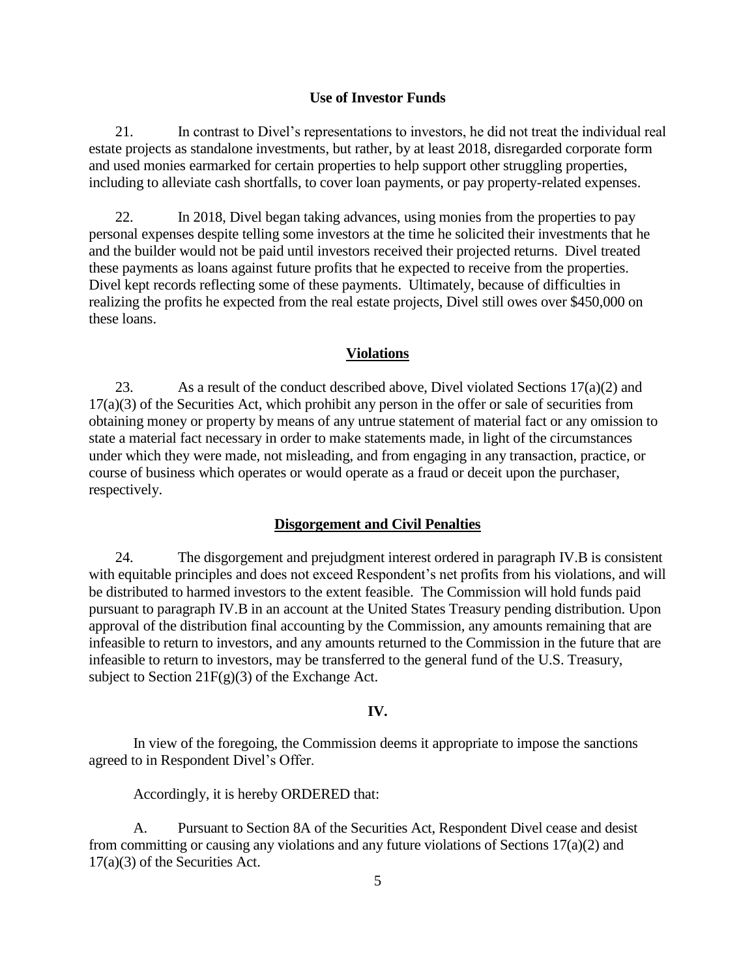### **Use of Investor Funds**

21. In contrast to Divel's representations to investors, he did not treat the individual real estate projects as standalone investments, but rather, by at least 2018, disregarded corporate form and used monies earmarked for certain properties to help support other struggling properties, including to alleviate cash shortfalls, to cover loan payments, or pay property-related expenses.

22. In 2018, Divel began taking advances, using monies from the properties to pay personal expenses despite telling some investors at the time he solicited their investments that he and the builder would not be paid until investors received their projected returns. Divel treated these payments as loans against future profits that he expected to receive from the properties. Divel kept records reflecting some of these payments. Ultimately, because of difficulties in realizing the profits he expected from the real estate projects, Divel still owes over \$450,000 on these loans.

### **Violations**

23. As a result of the conduct described above, Divel violated Sections 17(a)(2) and 17(a)(3) of the Securities Act, which prohibit any person in the offer or sale of securities from obtaining money or property by means of any untrue statement of material fact or any omission to state a material fact necessary in order to make statements made, in light of the circumstances under which they were made, not misleading, and from engaging in any transaction, practice, or course of business which operates or would operate as a fraud or deceit upon the purchaser, respectively.

## **Disgorgement and Civil Penalties**

24. The disgorgement and prejudgment interest ordered in paragraph IV.B is consistent with equitable principles and does not exceed Respondent's net profits from his violations, and will be distributed to harmed investors to the extent feasible. The Commission will hold funds paid pursuant to paragraph IV.B in an account at the United States Treasury pending distribution. Upon approval of the distribution final accounting by the Commission, any amounts remaining that are infeasible to return to investors, and any amounts returned to the Commission in the future that are infeasible to return to investors, may be transferred to the general fund of the U.S. Treasury, subject to Section  $21F(g)(3)$  of the Exchange Act.

### **IV.**

In view of the foregoing, the Commission deems it appropriate to impose the sanctions agreed to in Respondent Divel's Offer.

Accordingly, it is hereby ORDERED that:

A. Pursuant to Section 8A of the Securities Act, Respondent Divel cease and desist from committing or causing any violations and any future violations of Sections 17(a)(2) and 17(a)(3) of the Securities Act.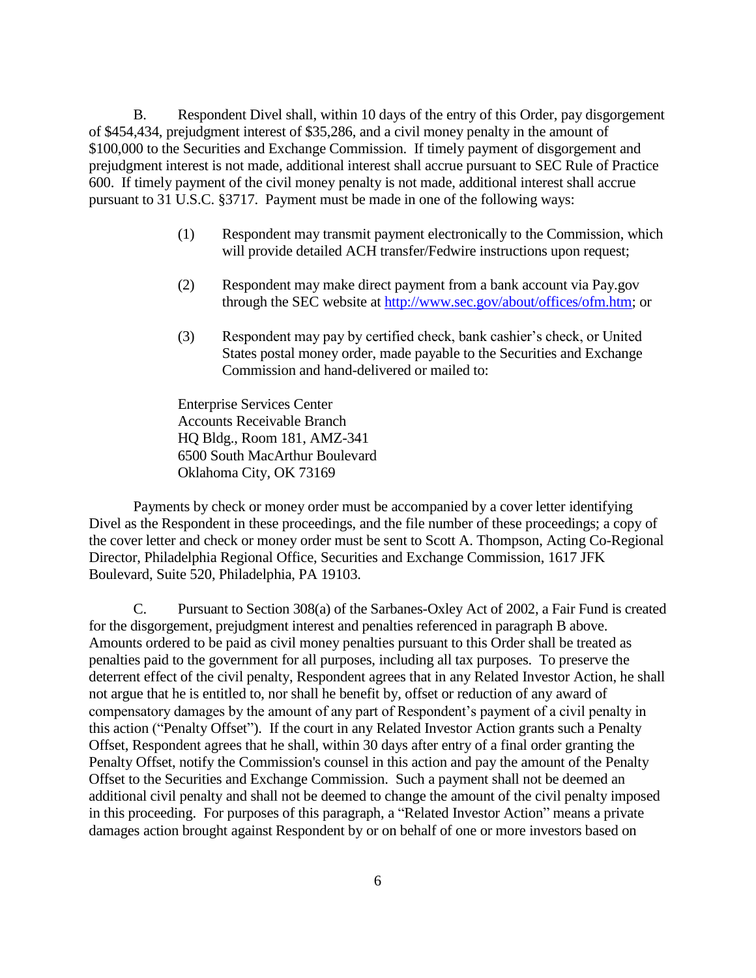B. Respondent Divel shall, within 10 days of the entry of this Order, pay disgorgement of \$454,434, prejudgment interest of \$35,286, and a civil money penalty in the amount of \$100,000 to the Securities and Exchange Commission. If timely payment of disgorgement and prejudgment interest is not made, additional interest shall accrue pursuant to SEC Rule of Practice 600. If timely payment of the civil money penalty is not made, additional interest shall accrue pursuant to 31 U.S.C. §3717. Payment must be made in one of the following ways:

- (1) Respondent may transmit payment electronically to the Commission, which will provide detailed ACH transfer/Fedwire instructions upon request;
- (2) Respondent may make direct payment from a bank account via Pay.gov through the SEC website at [http://www.sec.gov/about/offices/ofm.htm;](http://www.sec.gov/about/offices/ofm.htm) or
- (3) Respondent may pay by certified check, bank cashier's check, or United States postal money order, made payable to the Securities and Exchange Commission and hand-delivered or mailed to:

Enterprise Services Center Accounts Receivable Branch HQ Bldg., Room 181, AMZ-341 6500 South MacArthur Boulevard Oklahoma City, OK 73169

Payments by check or money order must be accompanied by a cover letter identifying Divel as the Respondent in these proceedings, and the file number of these proceedings; a copy of the cover letter and check or money order must be sent to Scott A. Thompson, Acting Co-Regional Director, Philadelphia Regional Office, Securities and Exchange Commission, 1617 JFK Boulevard, Suite 520, Philadelphia, PA 19103.

C. Pursuant to Section 308(a) of the Sarbanes-Oxley Act of 2002, a Fair Fund is created for the disgorgement, prejudgment interest and penalties referenced in paragraph B above. Amounts ordered to be paid as civil money penalties pursuant to this Order shall be treated as penalties paid to the government for all purposes, including all tax purposes. To preserve the deterrent effect of the civil penalty, Respondent agrees that in any Related Investor Action, he shall not argue that he is entitled to, nor shall he benefit by, offset or reduction of any award of compensatory damages by the amount of any part of Respondent's payment of a civil penalty in this action ("Penalty Offset"). If the court in any Related Investor Action grants such a Penalty Offset, Respondent agrees that he shall, within 30 days after entry of a final order granting the Penalty Offset, notify the Commission's counsel in this action and pay the amount of the Penalty Offset to the Securities and Exchange Commission. Such a payment shall not be deemed an additional civil penalty and shall not be deemed to change the amount of the civil penalty imposed in this proceeding. For purposes of this paragraph, a "Related Investor Action" means a private damages action brought against Respondent by or on behalf of one or more investors based on